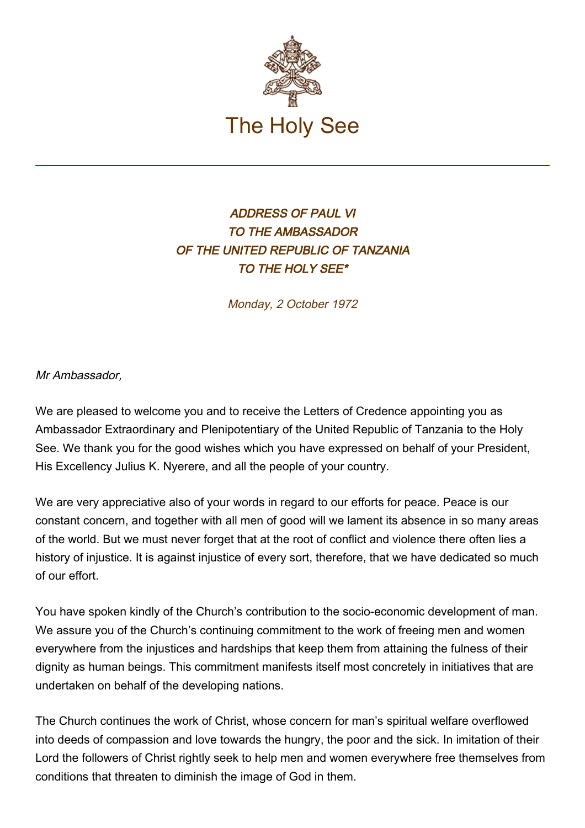

## ADDRESS OF PAUL VI TO THE AMBASSADOR OF THE UNITED REPUBLIC OF TANZANIA TO THE HOLY SEE\*

Monday, 2 October 1972

Mr Ambassador,

We are pleased to welcome you and to receive the Letters of Credence appointing you as Ambassador Extraordinary and Plenipotentiary of the United Republic of Tanzania to the Holy See. We thank you for the good wishes which you have expressed on behalf of your President, His Excellency Julius K. Nyerere, and all the people of your country.

We are very appreciative also of your words in regard to our efforts for peace. Peace is our constant concern, and together with all men of good will we lament its absence in so many areas of the world. But we must never forget that at the root of conflict and violence there often lies a history of injustice. It is against injustice of every sort, therefore, that we have dedicated so much of our effort.

You have spoken kindly of the Church's contribution to the socio-economic development of man. We assure you of the Church's continuing commitment to the work of freeing men and women everywhere from the injustices and hardships that keep them from attaining the fulness of their dignity as human beings. This commitment manifests itself most concretely in initiatives that are undertaken on behalf of the developing nations.

The Church continues the work of Christ, whose concern for man's spiritual welfare overflowed into deeds of compassion and love towards the hungry, the poor and the sick. In imitation of their Lord the followers of Christ rightly seek to help men and women everywhere free themselves from conditions that threaten to diminish the image of God in them.